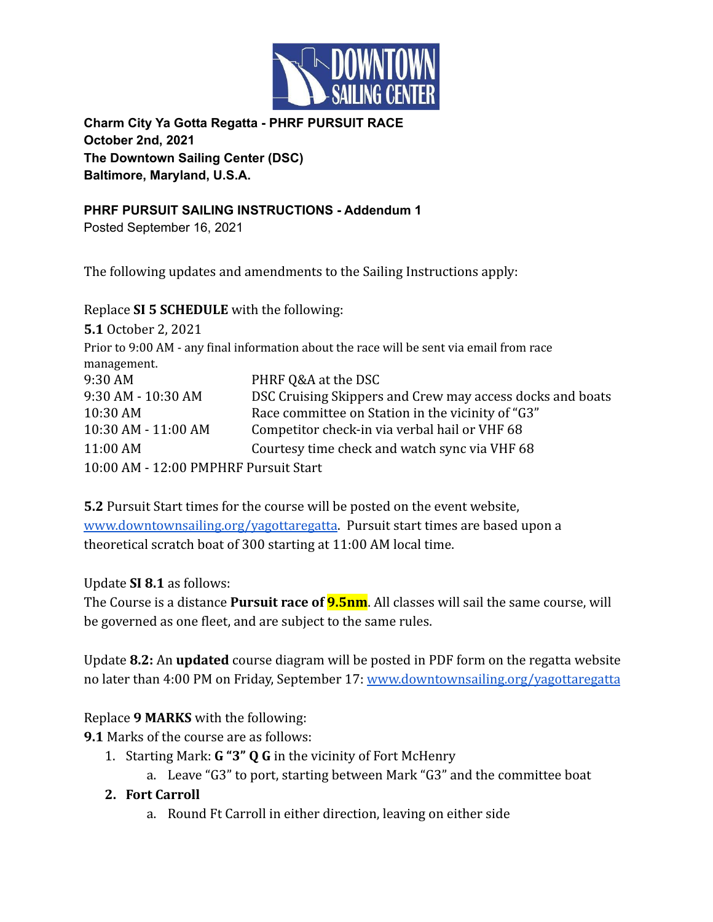

**Charm City Ya Gotta Regatta - PHRF PURSUIT RACE October 2nd, 2021 The Downtown Sailing Center (DSC) Baltimore, Maryland, U.S.A.**

**PHRF PURSUIT SAILING INSTRUCTIONS - Addendum 1** Posted September 16, 2021

The following updates and amendments to the Sailing Instructions apply:

Replace **SI 5 SCHEDULE** with the following:

| <b>5.1 October 2, 2021</b>            |                                                                                          |
|---------------------------------------|------------------------------------------------------------------------------------------|
|                                       | Prior to 9:00 AM - any final information about the race will be sent via email from race |
| management.                           |                                                                                          |
| 9:30 AM                               | PHRF Q&A at the DSC                                                                      |
| 9:30 AM - 10:30 AM                    | DSC Cruising Skippers and Crew may access docks and boats                                |
| 10:30 AM                              | Race committee on Station in the vicinity of "G3"                                        |
| 10:30 AM - 11:00 AM                   | Competitor check-in via verbal hail or VHF 68                                            |
| 11:00 AM                              | Courtesy time check and watch sync via VHF 68                                            |
| 10:00 AM - 12:00 PMPHRF Pursuit Start |                                                                                          |

**5.2** Pursuit Start times for the course will be posted on the event website, [www.downtownsailing.org/yagottaregatta](http://www.downtownsailing.org/yagottaregatta). Pursuit start times are based upon a theoretical scratch boat of 300 starting at 11:00 AM local time.

## Update **SI 8.1** as follows:

The Course is a distance **Pursuit race of 9.5nm**. All classes will sail the same course, will be governed as one fleet, and are subject to the same rules.

Update **8.2:** An **updated** course diagram will be posted in PDF form on the regatta website no later than 4:00 PM on Friday, September 17: [www.downtownsailing.org/yagottaregatta](http://www.downtownsailing.org/yagottaregatta)

## Replace **9 MARKS** with the following:

**9.1** Marks of the course are as follows:

- 1. Starting Mark: **G "3" Q G** in the vicinity of Fort McHenry
	- a. Leave "G3" to port, starting between Mark "G3" and the committee boat

## **2. Fort Carroll**

a. Round Ft Carroll in either direction, leaving on either side